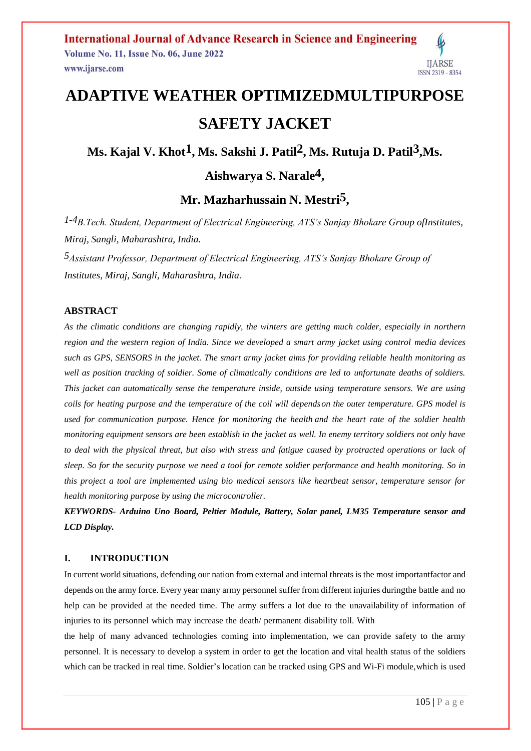# **ADAPTIVE WEATHER OPTIMIZEDMULTIPURPOSE SAFETY JACKET**

Ms. Kajal V. Khot<sup>1</sup>, Ms. Sakshi J. Patil<sup>2</sup>, Ms. Rutuja D. Patil<sup>3</sup>,Ms.

## **Aishwarya S. Narale4 ,**

## **Mr. Mazharhussain N. Mestri5 ,**

*1-4B.Tech. Student, Department of Electrical Engineering, ATS's Sanjay Bhokare Group ofInstitutes, Miraj, Sangli, Maharashtra, India.*

*5Assistant Professor, Department of Electrical Engineering, ATS's Sanjay Bhokare Group of Institutes, Miraj, Sangli, Maharashtra, India.*

#### **ABSTRACT**

*As the climatic conditions are changing rapidly, the winters are getting much colder, especially in northern region and the western region of India. Since we developed a smart army jacket using control media devices such as GPS, SENSORS in the jacket. The smart army jacket aims for providing reliable health monitoring as*  well as position tracking of soldier. Some of climatically conditions are led to unfortunate deaths of soldiers. *This jacket can automatically sense the temperature inside, outside using temperature sensors. We are using coils for heating purpose and the temperature of the coil will dependson the outer temperature. GPS model is used for communication purpose. Hence for monitoring the health and the heart rate of the soldier health monitoring equipment sensors are been establish in the jacket as well. In enemy territory soldiers not only have to deal with the physical threat, but also with stress and fatigue caused by protracted operations or lack of sleep. So for the security purpose we need a tool for remote soldier performance and health monitoring. So in this project a tool are implemented using bio medical sensors like heartbeat sensor, temperature sensor for health monitoring purpose by using the microcontroller.*

*KEYWORDS- Arduino Uno Board, Peltier Module, Battery, Solar panel, LM35 Temperature sensor and LCD Display.*

### **I. INTRODUCTION**

In current world situations, defending our nation from external and internal threats is the most importantfactor and depends on the army force. Every year many army personnel suffer from different injuries duringthe battle and no help can be provided at the needed time. The army suffers a lot due to the unavailability of information of injuries to its personnel which may increase the death/ permanent disability toll. With

the help of many advanced technologies coming into implementation, we can provide safety to the army personnel. It is necessary to develop a system in order to get the location and vital health status of the soldiers which can be tracked in real time. Soldier's location can be tracked using GPS and Wi-Fi module,which is used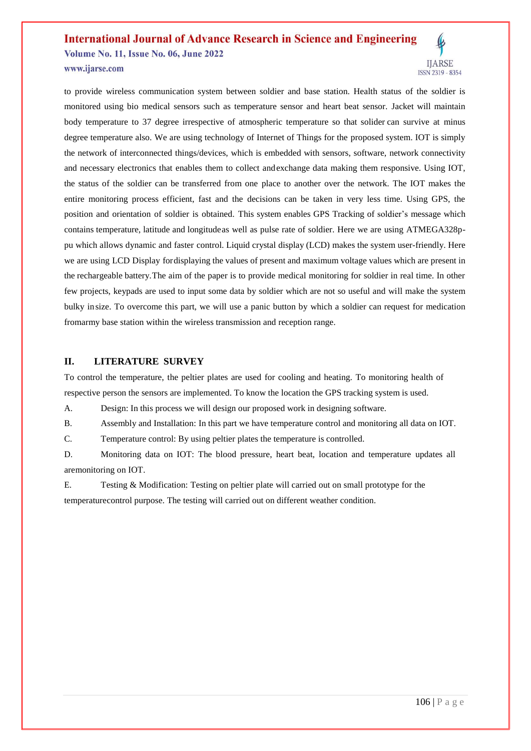### **International Journal of Advance Research in Science and Engineering** Volume No. 11, Issue No. 06, June 2022

www.ijarse.com



#### **II. LITERATURE SURVEY**

To control the temperature, the peltier plates are used for cooling and heating. To monitoring health of respective person the sensors are implemented. To know the location the GPS tracking system is used.

A. Design: In this process we will design our proposed work in designing software.

B. Assembly and Installation: In this part we have temperature control and monitoring all data on IOT.

C. Temperature control: By using peltier plates the temperature is controlled.

D. Monitoring data on IOT: The blood pressure, heart beat, location and temperature updates all aremonitoring on IOT.

E. Testing & Modification: Testing on peltier plate will carried out on small prototype for the temperaturecontrol purpose. The testing will carried out on different weather condition.

**IJARSE**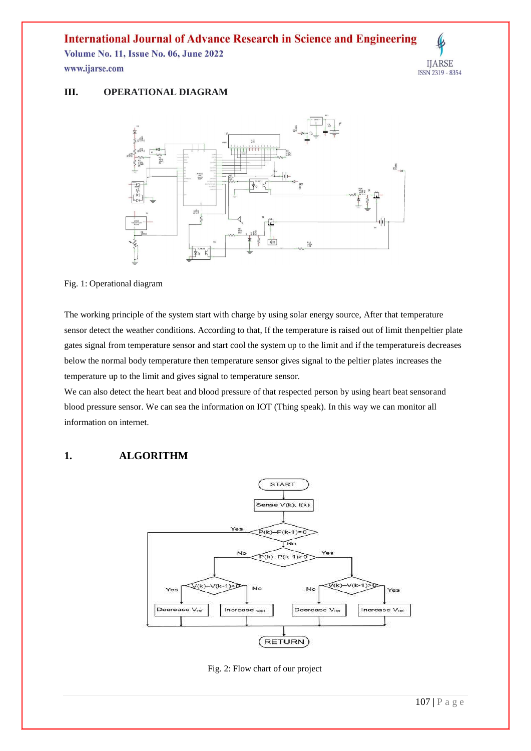### **International Journal of Advance Research in Science and Engineering**

**Volume No. 11, Issue No. 06, June 2022** www.ijarse.com



#### **III. OPERATIONAL DIAGRAM**



#### Fig. 1: Operational diagram

The working principle of the system start with charge by using solar energy source, After that temperature sensor detect the weather conditions. According to that, If the temperature is raised out of limit thenpeltier plate gates signal from temperature sensor and start cool the system up to the limit and if the temperatureis decreases below the normal body temperature then temperature sensor gives signal to the peltier plates increases the temperature up to the limit and gives signal to temperature sensor.

We can also detect the heart beat and blood pressure of that respected person by using heart beat sensorand blood pressure sensor. We can sea the information on IOT (Thing speak). In this way we can monitor all information on internet.

### **1. ALGORITHM**



Fig. 2: Flow chart of our project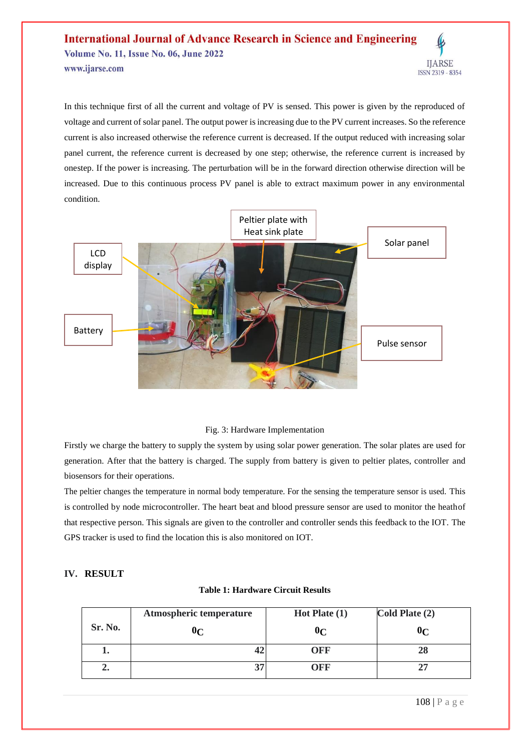#### **International Journal of Advance Research in Science and Engineering Volume No. 11, Issue No. 06, June 2022 IJARSE** www.ijarse.com ISSN 2319 - 8354

In this technique first of all the current and voltage of PV is sensed. This power is given by the reproduced of voltage and current of solar panel. The output power is increasing due to the PV current increases. So the reference current is also increased otherwise the reference current is decreased. If the output reduced with increasing solar panel current, the reference current is decreased by one step; otherwise, the reference current is increased by onestep. If the power is increasing. The perturbation will be in the forward direction otherwise direction will be increased. Due to this continuous process PV panel is able to extract maximum power in any environmental condition.



#### Fig. 3: Hardware Implementation

Firstly we charge the battery to supply the system by using solar power generation. The solar plates are used for generation. After that the battery is charged. The supply from battery is given to peltier plates, controller and biosensors for their operations.

The peltier changes the temperature in normal body temperature. For the sensing the temperature sensor is used. This is controlled by node microcontroller. The heart beat and blood pressure sensor are used to monitor the heathof that respective person. This signals are given to the controller and controller sends this feedback to the IOT. The GPS tracker is used to find the location this is also monitored on IOT.

#### **IV. RESULT**

#### **Table 1: Hardware Circuit Results**

|                  | Atmospheric temperature | Hot Plate $(1)$ | Cold Plate (2) |
|------------------|-------------------------|-----------------|----------------|
| Sr. No.          | 0 <sub>C</sub>          | 0 <sub>C</sub>  | 0 <sub>C</sub> |
| ı.               | 42                      | OFF             | 28             |
| $\overline{2}$ . | 37                      | OFF             | 27             |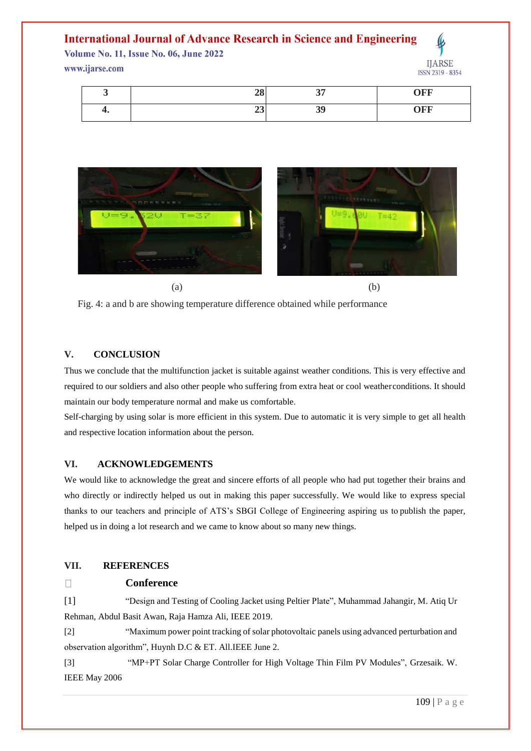### **International Journal of Advance Research in Science and Engineering**

**Volume No. 11, Issue No. 06, June 2022** 

#### www.ijarse.com



ISSN 2319 - 8354

|    | 90<br>$\angle$ o      | $\bigcap$<br>ູ | <b>)FF</b> |
|----|-----------------------|----------------|------------|
| т. | . .<br>$\overline{ }$ | 20<br>33       | <b>OFF</b> |



 $(a)$  (b)

Fig. 4: a and b are showing temperature difference obtained while performance

#### **V. CONCLUSION**

Thus we conclude that the multifunction jacket is suitable against weather conditions. This is very effective and required to our soldiers and also other people who suffering from extra heat or cool weatherconditions. It should maintain our body temperature normal and make us comfortable.

Self-charging by using solar is more efficient in this system. Due to automatic it is very simple to get all health and respective location information about the person.

#### **VI. ACKNOWLEDGEMENTS**

We would like to acknowledge the great and sincere efforts of all people who had put together their brains and who directly or indirectly helped us out in making this paper successfully. We would like to express special thanks to our teachers and principle of ATS's SBGI College of Engineering aspiring us to publish the paper, helped us in doing a lot research and we came to know about so many new things.

#### **VII. REFERENCES**

#### $\Box$ **Conference**

[1] "Design and Testing of Cooling Jacket using Peltier Plate", Muhammad Jahangir, M. Atiq Ur Rehman, Abdul Basit Awan, Raja Hamza Ali, IEEE 2019.

[2] "Maximum power point tracking of solar photovoltaic panels using advanced perturbation and observation algorithm", Huynh D.C & ET. All.IEEE June 2.

[3] "MP+PT Solar Charge Controller for High Voltage Thin Film PV Modules", Grzesaik. W. IEEE May 2006